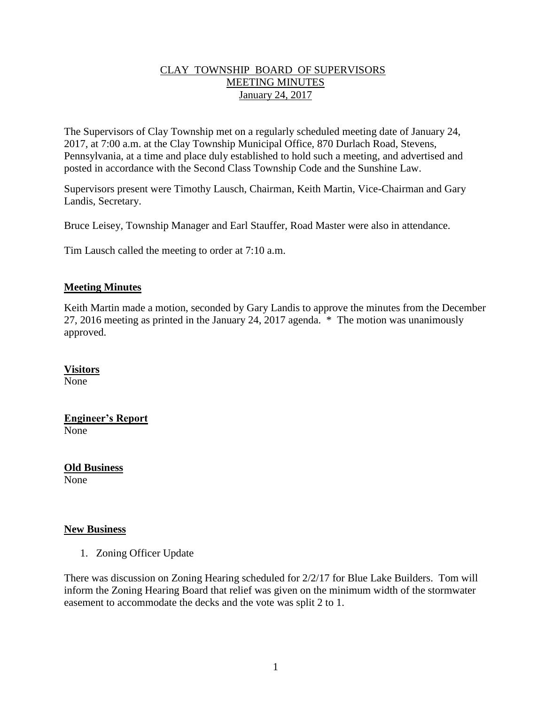### CLAY TOWNSHIP BOARD OF SUPERVISORS MEETING MINUTES January 24, 2017

The Supervisors of Clay Township met on a regularly scheduled meeting date of January 24, 2017, at 7:00 a.m. at the Clay Township Municipal Office, 870 Durlach Road, Stevens, Pennsylvania, at a time and place duly established to hold such a meeting, and advertised and posted in accordance with the Second Class Township Code and the Sunshine Law.

Supervisors present were Timothy Lausch, Chairman, Keith Martin, Vice-Chairman and Gary Landis, Secretary.

Bruce Leisey, Township Manager and Earl Stauffer, Road Master were also in attendance.

Tim Lausch called the meeting to order at 7:10 a.m.

#### **Meeting Minutes**

Keith Martin made a motion, seconded by Gary Landis to approve the minutes from the December 27, 2016 meeting as printed in the January 24, 2017 agenda. \* The motion was unanimously approved.

## **Visitors**

None

**Engineer's Report** None

**Old Business** None

#### **New Business**

1. Zoning Officer Update

There was discussion on Zoning Hearing scheduled for 2/2/17 for Blue Lake Builders. Tom will inform the Zoning Hearing Board that relief was given on the minimum width of the stormwater easement to accommodate the decks and the vote was split 2 to 1.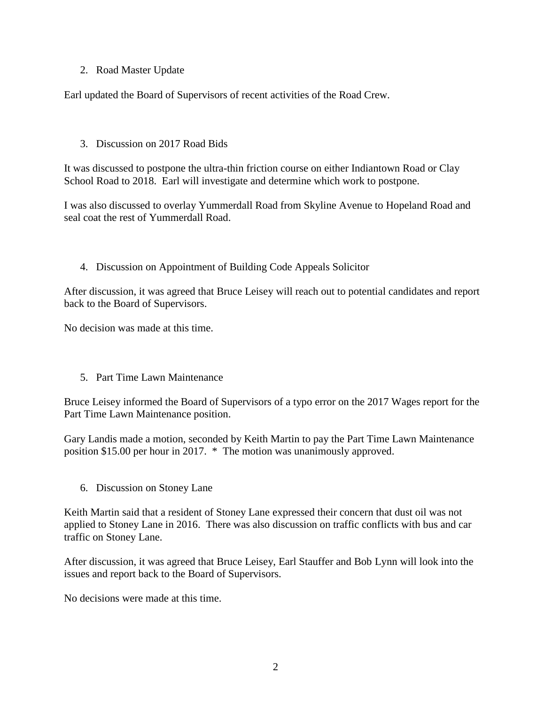### 2. Road Master Update

Earl updated the Board of Supervisors of recent activities of the Road Crew.

#### 3. Discussion on 2017 Road Bids

It was discussed to postpone the ultra-thin friction course on either Indiantown Road or Clay School Road to 2018. Earl will investigate and determine which work to postpone.

I was also discussed to overlay Yummerdall Road from Skyline Avenue to Hopeland Road and seal coat the rest of Yummerdall Road.

#### 4. Discussion on Appointment of Building Code Appeals Solicitor

After discussion, it was agreed that Bruce Leisey will reach out to potential candidates and report back to the Board of Supervisors.

No decision was made at this time.

5. Part Time Lawn Maintenance

Bruce Leisey informed the Board of Supervisors of a typo error on the 2017 Wages report for the Part Time Lawn Maintenance position.

Gary Landis made a motion, seconded by Keith Martin to pay the Part Time Lawn Maintenance position \$15.00 per hour in 2017. \* The motion was unanimously approved.

6. Discussion on Stoney Lane

Keith Martin said that a resident of Stoney Lane expressed their concern that dust oil was not applied to Stoney Lane in 2016. There was also discussion on traffic conflicts with bus and car traffic on Stoney Lane.

After discussion, it was agreed that Bruce Leisey, Earl Stauffer and Bob Lynn will look into the issues and report back to the Board of Supervisors.

No decisions were made at this time.